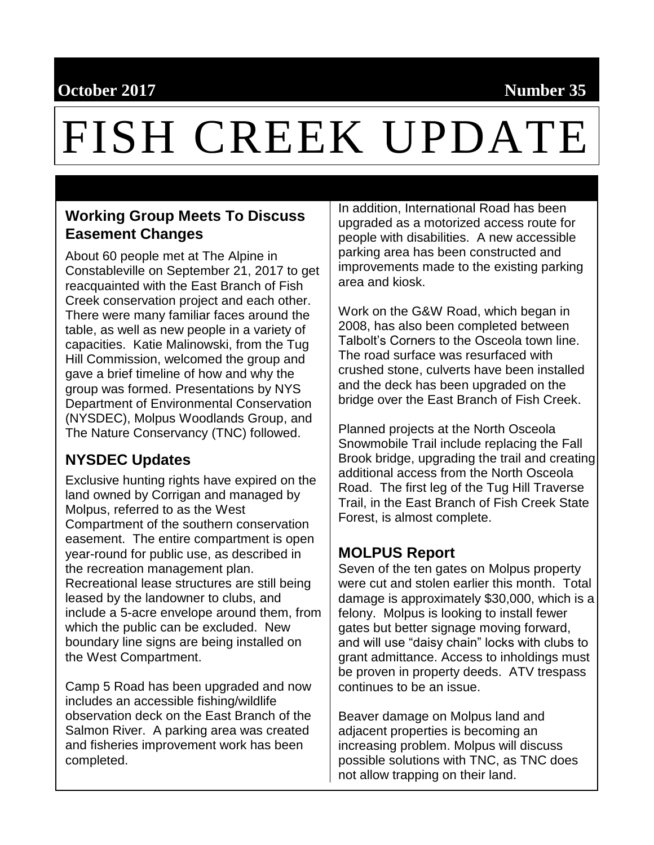## **October 2017 Number 35**

# FISH CREEK UPDATE

#### **Working Group Meets To Discuss Easement Changes**

About 60 people met at The Alpine in Constableville on September 21, 2017 to get reacquainted with the East Branch of Fish Creek conservation project and each other. There were many familiar faces around the table, as well as new people in a variety of capacities. Katie Malinowski, from the Tug Hill Commission, welcomed the group and gave a brief timeline of how and why the group was formed. Presentations by NYS Department of Environmental Conservation (NYSDEC), Molpus Woodlands Group, and The Nature Conservancy (TNC) followed.

#### **NYSDEC Updates**

Exclusive hunting rights have expired on the land owned by Corrigan and managed by Molpus, referred to as the West Compartment of the southern conservation easement. The entire compartment is open year-round for public use, as described in the recreation management plan. Recreational lease structures are still being leased by the landowner to clubs, and include a 5-acre envelope around them, from which the public can be excluded. New boundary line signs are being installed on the West Compartment.

Camp 5 Road has been upgraded and now includes an accessible fishing/wildlife observation deck on the East Branch of the Salmon River. A parking area was created and fisheries improvement work has been completed.

In addition, International Road has been upgraded as a motorized access route for people with disabilities. A new accessible parking area has been constructed and improvements made to the existing parking area and kiosk.

Work on the G&W Road, which began in 2008, has also been completed between Talbolt's Corners to the Osceola town line. The road surface was resurfaced with crushed stone, culverts have been installed and the deck has been upgraded on the bridge over the East Branch of Fish Creek.

Planned projects at the North Osceola Snowmobile Trail include replacing the Fall Brook bridge, upgrading the trail and creating additional access from the North Osceola Road. The first leg of the Tug Hill Traverse Trail, in the East Branch of Fish Creek State Forest, is almost complete.

#### **MOLPUS Report**

Seven of the ten gates on Molpus property were cut and stolen earlier this month. Total damage is approximately \$30,000, which is a felony. Molpus is looking to install fewer gates but better signage moving forward, and will use "daisy chain" locks with clubs to grant admittance. Access to inholdings must be proven in property deeds. ATV trespass continues to be an issue.

Beaver damage on Molpus land and adjacent properties is becoming an increasing problem. Molpus will discuss possible solutions with TNC, as TNC does not allow trapping on their land.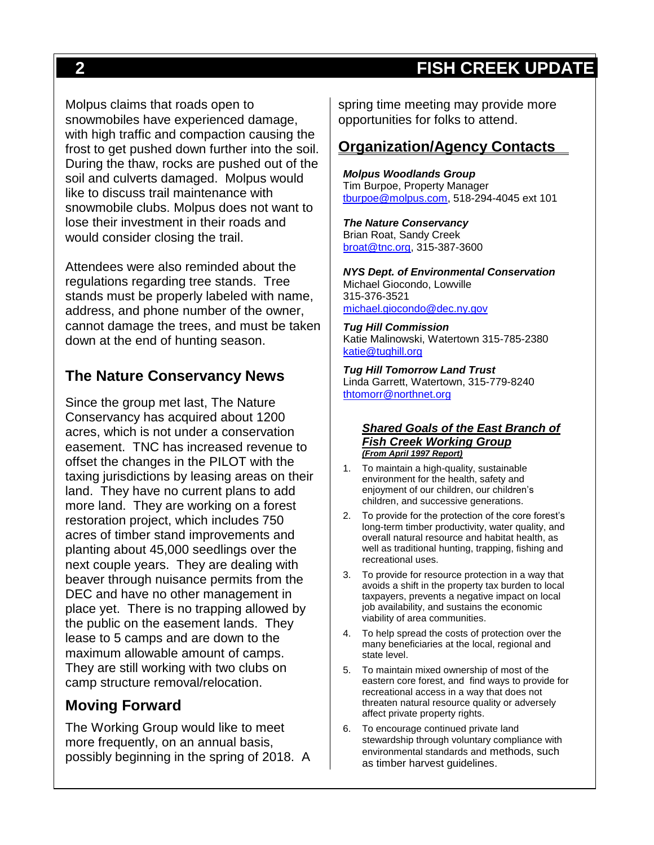## **2 FISH CREEK UPDATE**

Molpus claims that roads open to snowmobiles have experienced damage, with high traffic and compaction causing the frost to get pushed down further into the soil. During the thaw, rocks are pushed out of the soil and culverts damaged. Molpus would like to discuss trail maintenance with snowmobile clubs. Molpus does not want to lose their investment in their roads and would consider closing the trail.

Attendees were also reminded about the regulations regarding tree stands. Tree stands must be properly labeled with name, address, and phone number of the owner, cannot damage the trees, and must be taken down at the end of hunting season.

#### **The Nature Conservancy News**

Since the group met last, The Nature Conservancy has acquired about 1200 acres, which is not under a conservation easement. TNC has increased revenue to offset the changes in the PILOT with the taxing jurisdictions by leasing areas on their land. They have no current plans to add more land. They are working on a forest restoration project, which includes 750 acres of timber stand improvements and planting about 45,000 seedlings over the next couple years. They are dealing with beaver through nuisance permits from the DEC and have no other management in place yet. There is no trapping allowed by the public on the easement lands. They lease to 5 camps and are down to the maximum allowable amount of camps. They are still working with two clubs on camp structure removal/relocation.

#### **Moving Forward**

The Working Group would like to meet more frequently, on an annual basis, possibly beginning in the spring of 2018. A

spring time meeting may provide more opportunities for folks to attend.

#### **Organization/Agency Contacts**

*Molpus Woodlands Group* Tim Burpoe, Property Manager [tburpoe@molpus.com,](mailto:tburpoe@molpus.com) 518-294-4045 ext 101

*The Nature Conservancy* Brian Roat, Sandy Creek [broat@tnc.org,](mailto:broat@tnc.org) 315-387-3600

*NYS Dept. of Environmental Conservation* Michael Giocondo, Lowville 315-376-3521 [michael.giocondo@dec.ny.gov](mailto:michael.giocondo@dec.ny.gov)

*Tug Hill Commission* Katie Malinowski, Watertown 315-785-2380 [katie@tughill.org](mailto:katie@tughill.org)

*Tug Hill Tomorrow Land Trust* Linda Garrett, Watertown, 315-779-8240 [thtomorr@northnet.org](mailto:thtomorr@northnet.org)

#### *Shared Goals of the East Branch of Fish Creek Working Group (From April 1997 Report)*

- 1. To maintain a high-quality, sustainable environment for the health, safety and enjoyment of our children, our children's children, and successive generations.
- 2. To provide for the protection of the core forest's long-term timber productivity, water quality, and overall natural resource and habitat health, as well as traditional hunting, trapping, fishing and recreational uses.
- 3. To provide for resource protection in a way that avoids a shift in the property tax burden to local taxpayers, prevents a negative impact on local job availability, and sustains the economic viability of area communities.
- 4. To help spread the costs of protection over the many beneficiaries at the local, regional and state level.
- 5. To maintain mixed ownership of most of the eastern core forest, and find ways to provide for recreational access in a way that does not threaten natural resource quality or adversely affect private property rights.
- 6. To encourage continued private land stewardship through voluntary compliance with environmental standards and methods, such as timber harvest guidelines.